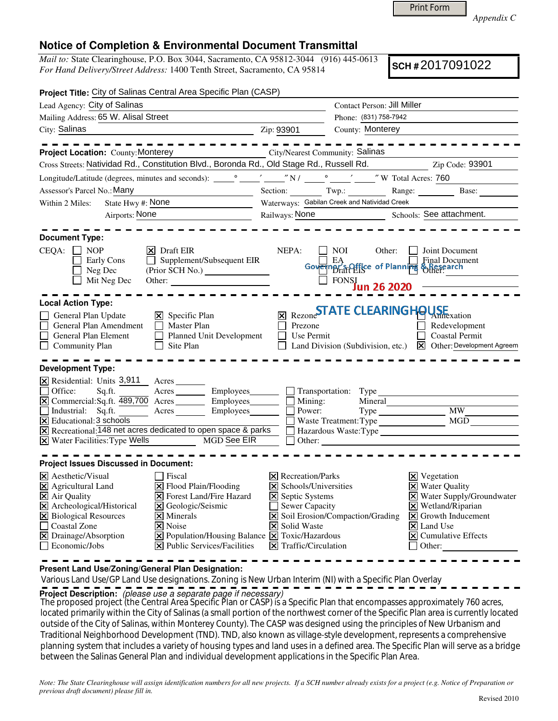Print Form

*Appendix C* 

## **Notice of Completion & Environmental Document Transmittal**

*Mail to:* State Clearinghouse, P.O. Box 3044, Sacramento, CA 95812-3044 (916) 445-0613 *For Hand Delivery/Street Address:* 1400 Tenth Street, Sacramento, CA 95814

**SCH #** 2017091022

| Project Title: City of Salinas Central Area Specific Plan (CASP)                                                                                                                                                                                                                                                                                                                                 |                                                                                                                                                                                                                                                                       |                                                                                                                                                                               |                                                                                                  |                                                                                                                                                                                                                                                                   |  |
|--------------------------------------------------------------------------------------------------------------------------------------------------------------------------------------------------------------------------------------------------------------------------------------------------------------------------------------------------------------------------------------------------|-----------------------------------------------------------------------------------------------------------------------------------------------------------------------------------------------------------------------------------------------------------------------|-------------------------------------------------------------------------------------------------------------------------------------------------------------------------------|--------------------------------------------------------------------------------------------------|-------------------------------------------------------------------------------------------------------------------------------------------------------------------------------------------------------------------------------------------------------------------|--|
| Lead Agency: City of Salinas                                                                                                                                                                                                                                                                                                                                                                     |                                                                                                                                                                                                                                                                       |                                                                                                                                                                               | Contact Person: Jill Miller                                                                      |                                                                                                                                                                                                                                                                   |  |
| Mailing Address: 65 W. Alisal Street                                                                                                                                                                                                                                                                                                                                                             |                                                                                                                                                                                                                                                                       | Phone: (831) 758-7942                                                                                                                                                         |                                                                                                  |                                                                                                                                                                                                                                                                   |  |
| City: Salinas<br><u>2ip: 93901</u>                                                                                                                                                                                                                                                                                                                                                               |                                                                                                                                                                                                                                                                       |                                                                                                                                                                               | County: Monterey                                                                                 |                                                                                                                                                                                                                                                                   |  |
| <b>Project Location:</b> County: Monterey City/Nearest Community: Salinas<br>Cross Streets: Natividad Rd., Constitution Blvd., Boronda Rd., Old Stage Rd., Russell Rd. Zip Code: 93901                                                                                                                                                                                                           |                                                                                                                                                                                                                                                                       |                                                                                                                                                                               |                                                                                                  |                                                                                                                                                                                                                                                                   |  |
|                                                                                                                                                                                                                                                                                                                                                                                                  |                                                                                                                                                                                                                                                                       |                                                                                                                                                                               |                                                                                                  |                                                                                                                                                                                                                                                                   |  |
|                                                                                                                                                                                                                                                                                                                                                                                                  |                                                                                                                                                                                                                                                                       |                                                                                                                                                                               |                                                                                                  |                                                                                                                                                                                                                                                                   |  |
| Assessor's Parcel No.: Many<br><u> 1989 - Johann Barbara, politik eta politikar</u>                                                                                                                                                                                                                                                                                                              |                                                                                                                                                                                                                                                                       |                                                                                                                                                                               |                                                                                                  | Section: Twp.: Range: Base:                                                                                                                                                                                                                                       |  |
| State Hwy #: None<br>Within 2 Miles:<br>Airports: None<br><u> 1990 - Johann Barbara, martin a</u>                                                                                                                                                                                                                                                                                                |                                                                                                                                                                                                                                                                       |                                                                                                                                                                               | Waterways: Gabilan Creek and Natividad Creek                                                     |                                                                                                                                                                                                                                                                   |  |
|                                                                                                                                                                                                                                                                                                                                                                                                  |                                                                                                                                                                                                                                                                       |                                                                                                                                                                               |                                                                                                  | Railways: None Schools: See attachment.                                                                                                                                                                                                                           |  |
| <b>Document Type:</b>                                                                                                                                                                                                                                                                                                                                                                            |                                                                                                                                                                                                                                                                       |                                                                                                                                                                               |                                                                                                  |                                                                                                                                                                                                                                                                   |  |
| $CEQA: \Box NP$<br>Early Cons<br>Neg Dec<br>Mit Neg Dec                                                                                                                                                                                                                                                                                                                                          | $ \mathsf{X} $ Draft EIR<br>$\Box$ Supplement/Subsequent EIR                                                                                                                                                                                                          | NEPA:                                                                                                                                                                         | NOI<br>Other:<br>Govering EA<br>Govering rate of Planning<br>$\overline{\Box}$ FONSI Jun 26 2020 | Joint Document<br>Final Document<br>SResearch<br>Other:                                                                                                                                                                                                           |  |
| <b>Local Action Type:</b>                                                                                                                                                                                                                                                                                                                                                                        |                                                                                                                                                                                                                                                                       |                                                                                                                                                                               |                                                                                                  |                                                                                                                                                                                                                                                                   |  |
| General Plan Update<br>General Plan Amendment<br>$\Box$<br>General Plan Element<br>$\Box$<br><b>Community Plan</b>                                                                                                                                                                                                                                                                               | $\mathsf{X}$ Specific Plan<br>$\Box$ Master Plan<br>Planned Unit Development<br>$\Box$ Site Plan                                                                                                                                                                      | Prezone<br>Use Permit                                                                                                                                                         | $_{\boxtimes}$ Rezone <b>STATE CLEARING HOUSE</b> xation<br>Land Division (Subdivision, etc.)    | Redevelopment<br><b>Coastal Permit</b><br>X Other: Development Agreem                                                                                                                                                                                             |  |
| <b>Development Type:</b><br>$\overline{X}$ Residential: Units 3,911 Acres<br>Sq.ft.<br>Office:<br>[X] Commercial:Sq.ft. 489,700 Acres ________ Employees_______<br>Industrial: Sq.ft. Acres Employees<br>$\overline{\mathsf{X}}$ Educational: 3 schools<br>$\overline{X}$ Recreational: $\overline{148}$ net acres dedicated to open space & parks<br>X Water Facilities: Type Wells MGD See EIR | Acres Employees                                                                                                                                                                                                                                                       | Mining:<br>Power:<br>Other:                                                                                                                                                   | Transportation: Type<br>Mineral<br>Waste Treatment: Type                                         | Type MW_<br>MGD                                                                                                                                                                                                                                                   |  |
| <b>Project Issues Discussed in Document:</b>                                                                                                                                                                                                                                                                                                                                                     |                                                                                                                                                                                                                                                                       |                                                                                                                                                                               |                                                                                                  |                                                                                                                                                                                                                                                                   |  |
| $ \mathsf{X} $ Aesthetic/Visual<br>$\boxtimes$ Agricultural Land<br>$\boxtimes$ Air Quality<br>X Archeological/Historical<br>X Biological Resources<br>□ Coastal Zone<br>X Drainage/Absorption<br>$\Box$ Economic/Jobs                                                                                                                                                                           | Fiscal<br>$\Xi$ Flood Plain/Flooding<br>$\triangleright$ Forest Land/Fire Hazard<br>X Geologic/Seismic<br>$\times$ Minerals<br><b>X</b> Noise<br>$\boxed{\mathbf{X}}$ Population/Housing Balance $\boxed{\mathbf{X}}$ Toxic/Hazardous<br>X Public Services/Facilities | $ \mathsf{X} $ Recreation/Parks<br>R<br>Schools/Universities<br><b>X</b> Septic Systems<br>Sewer Capacity<br><b>X</b> Solid Waste<br>$\boxed{\mathsf{X}}$ Traffic/Circulation | $\triangleright$ Soil Erosion/Compaction/Grading                                                 | $\boxtimes$ Vegetation<br>X Water Quality<br>X Water Supply/Groundwater<br>$\overline{\mathsf{x}}$ Wetland/ $\overline{\mathsf{R}}$ iparian<br>$\vert\mathbf{X}\vert$ Growth Inducement<br>$\overline{\mathsf{x}}$ Land Use<br>$\Xi$ Cumulative Effects<br>Other: |  |

**Present Land Use/Zoning/General Plan Designation:**

Various Land Use/GP Land Use designations. Zoning is New Urban Interim (NI) with a Specific Plan Overlay

**Project Description:** (please use a separate page if necessary)

 The proposed project (the Central Area Specific Plan or CASP) is a Specific Plan that encompasses approximately 760 acres, located primarily within the City of Salinas (a small portion of the northwest corner of the Specific Plan area is currently located outside of the City of Salinas, within Monterey County). The CASP was designed using the principles of New Urbanism and Traditional Neighborhood Development (TND). TND, also known as village‐style development, represents a comprehensive planning system that includes a variety of housing types and land uses in a defined area. The Specific Plan will serve as a bridge between the Salinas General Plan and individual development applications in the Specific Plan Area.

*Note: The State Clearinghouse will assign identification numbers for all new projects. If a SCH number already exists for a project (e.g. Notice of Preparation or previous draft document) please fill in.*